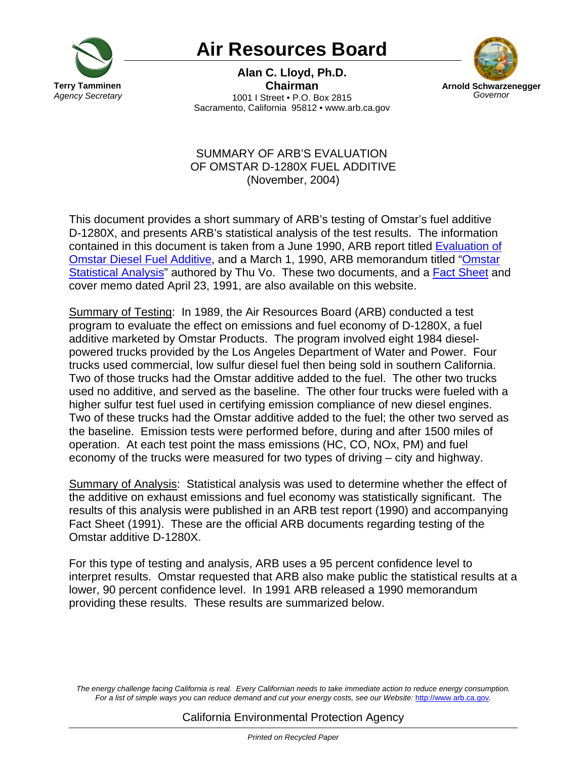

## **Air Resources Board**

**Alan C. Lloyd, Ph.D. Chairman** 1001 I Street • P.O. Box 2815 Sacramento, California 95812 • www.arb.ca.gov



## SUMMARY OF ARB'S EVALUATION OF OMSTAR D-1280X FUEL ADDITIVE (November, 2004)

This document provides a short summary of ARB's testing of Omstar's fuel additive D-1280X, and presents ARB's statistical analysis of the test results. The information contained in this document is taken from a June 1990, ARB report titled [Evaluation of](http://www.arb.ca.gov/msprog/aftermkt/omstar/omstarreport.pdf) [Omstar Diesel Fuel Additive,](http://www.arb.ca.gov/msprog/aftermkt/omstar/omstarreport.pdf) and a March 1, 1990, ARB memorandum titled ["Omstar](http://www.arb.ca.gov/msprog/aftermkt/omstar/omstaranal.pdf) [Statistical Analysis"](http://www.arb.ca.gov/msprog/aftermkt/omstar/omstaranal.pdf) authored by Thu Vo. These two documents, and a **Fact Sheet** and cover memo dated April 23, 1991, are also available on this website.

Summary of Testing: In 1989, the Air Resources Board (ARB) conducted a test program to evaluate the effect on emissions and fuel economy of D-1280X, a fuel additive marketed by Omstar Products. The program involved eight 1984 dieselpowered trucks provided by the Los Angeles Department of Water and Power. Four trucks used commercial, low sulfur diesel fuel then being sold in southern California. Two of those trucks had the Omstar additive added to the fuel. The other two trucks used no additive, and served as the baseline. The other four trucks were fueled with a higher sulfur test fuel used in certifying emission compliance of new diesel engines. Two of these trucks had the Omstar additive added to the fuel; the other two served as the baseline. Emission tests were performed before, during and after 1500 miles of operation. At each test point the mass emissions (HC, CO, NOx, PM) and fuel economy of the trucks were measured for two types of driving – city and highway.

Summary of Analysis: Statistical analysis was used to determine whether the effect of the additive on exhaust emissions and fuel economy was statistically significant. The results of this analysis were published in an ARB test report (1990) and accompanying Fact Sheet (1991). These are the official ARB documents regarding testing of the Omstar additive D-1280X.

For this type of testing and analysis, ARB uses a 95 percent confidence level to interpret results. Omstar requested that ARB also make public the statistical results at a lower, 90 percent confidence level. In 1991 ARB released a 1990 memorandum providing these results. These results are summarized below.

*The energy challenge facing California is real. Every Californian needs to take immediate action to reduce energy consumption. For a list of simple ways you can reduce demand and cut your energy costs, see our Website:* http://www.arb.ca.gov*.*